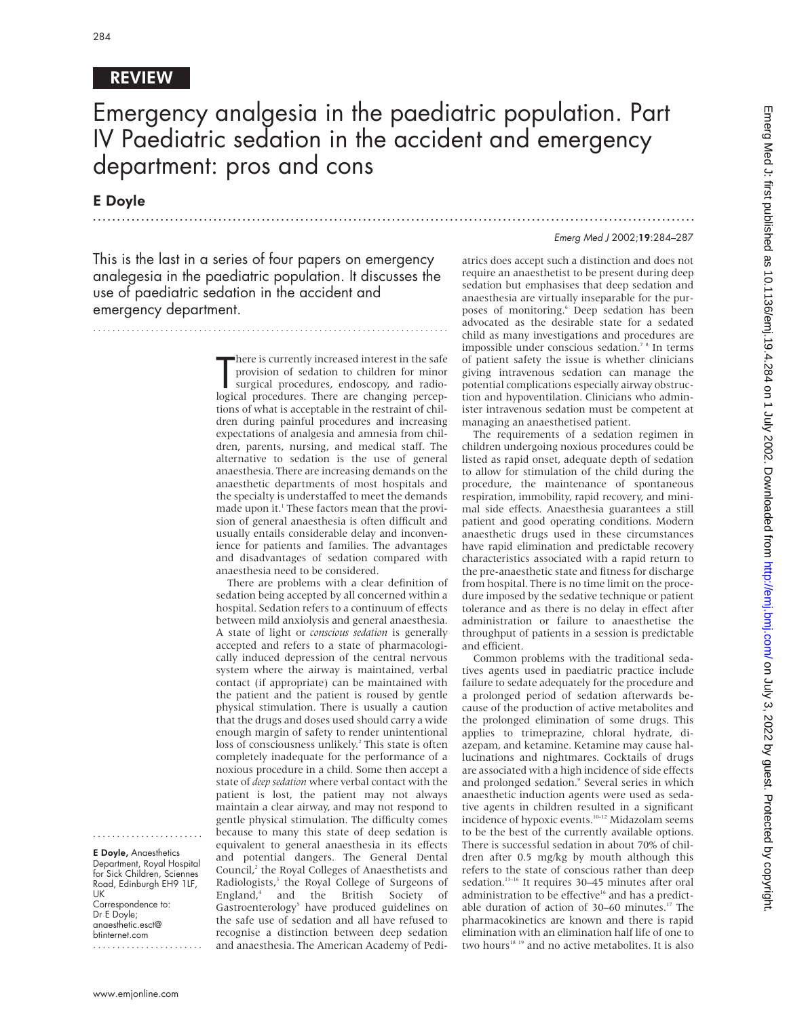## REVIEW

# Emergency analgesia in the paediatric population. Part IV Paediatric sedation in the accident and emergency department: pros and cons

.............................................................................................................................

### E Doyle

This is the last in a series of four papers on emergency analegesia in the paediatric population. It discusses the use of paediatric sedation in the accident and emergency department.

..........................................................................

There is currently increased interest in the sate<br>provision of sedation to children for minor<br>surgical procedures, endoscopy, and radio-<br>logical procedures. There are changing percephere is currently increased interest in the safe provision of sedation to children for minor surgical procedures, endoscopy, and radiotions of what is acceptable in the restraint of children during painful procedures and increasing expectations of analgesia and amnesia from children, parents, nursing, and medical staff. The alternative to sedation is the use of general anaesthesia. There are increasing demands on the anaesthetic departments of most hospitals and the specialty is understaffed to meet the demands made upon it.<sup>1</sup> These factors mean that the provision of general anaesthesia is often difficult and usually entails considerable delay and inconvenience for patients and families. The advantages and disadvantages of sedation compared with anaesthesia need to be considered.

There are problems with a clear definition of sedation being accepted by all concerned within a hospital. Sedation refers to a continuum of effects between mild anxiolysis and general anaesthesia. A state of light or *conscious sedation* is generally accepted and refers to a state of pharmacologically induced depression of the central nervous system where the airway is maintained, verbal contact (if appropriate) can be maintained with the patient and the patient is roused by gentle physical stimulation. There is usually a caution that the drugs and doses used should carry a wide enough margin of safety to render unintentional loss of consciousness unlikely.<sup>2</sup> This state is often completely inadequate for the performance of a noxious procedure in a child. Some then accept a state of *deep sedation* where verbal contact with the patient is lost, the patient may not always maintain a clear airway, and may not respond to gentle physical stimulation. The difficulty comes because to many this state of deep sedation is equivalent to general anaesthesia in its effects and potential dangers. The General Dental Council,<sup>2</sup> the Royal Colleges of Anaesthetists and Radiologists,<sup>3</sup> the Royal College of Surgeons of England,4 and the British Society of Gastroenterology<sup>5</sup> have produced guidelines on the safe use of sedation and all have refused to recognise a distinction between deep sedation and anaesthesia. The American Academy of Pedi-

#### Emerg Med J 2002;19:284–287

atrics does accept such a distinction and does not require an anaesthetist to be present during deep sedation but emphasises that deep sedation and anaesthesia are virtually inseparable for the purposes of monitoring.<sup>6</sup> Deep sedation has been advocated as the desirable state for a sedated child as many investigations and procedures are impossible under conscious sedation.<sup>78</sup> In terms of patient safety the issue is whether clinicians giving intravenous sedation can manage the potential complications especially airway obstruction and hypoventilation. Clinicians who administer intravenous sedation must be competent at managing an anaesthetised patient.

The requirements of a sedation regimen in children undergoing noxious procedures could be listed as rapid onset, adequate depth of sedation to allow for stimulation of the child during the procedure, the maintenance of spontaneous respiration, immobility, rapid recovery, and minimal side effects. Anaesthesia guarantees a still patient and good operating conditions. Modern anaesthetic drugs used in these circumstances have rapid elimination and predictable recovery characteristics associated with a rapid return to the pre-anaesthetic state and fitness for discharge from hospital. There is no time limit on the procedure imposed by the sedative technique or patient tolerance and as there is no delay in effect after administration or failure to anaesthetise the throughput of patients in a session is predictable and efficient.

Common problems with the traditional sedatives agents used in paediatric practice include failure to sedate adequately for the procedure and a prolonged period of sedation afterwards because of the production of active metabolites and the prolonged elimination of some drugs. This applies to trimeprazine, chloral hydrate, diazepam, and ketamine. Ketamine may cause hallucinations and nightmares. Cocktails of drugs are associated with a high incidence of side effects and prolonged sedation.<sup>9</sup> Several series in which anaesthetic induction agents were used as sedative agents in children resulted in a significant incidence of hypoxic events.10–12 Midazolam seems to be the best of the currently available options. There is successful sedation in about 70% of children after 0.5 mg/kg by mouth although this refers to the state of conscious rather than deep sedation.<sup>13-16</sup> It requires 30–45 minutes after oral administration to be effective<sup>16</sup> and has a predictable duration of action of 30-60 minutes.<sup>17</sup> The pharmacokinetics are known and there is rapid elimination with an elimination half life of one to two hours<sup>18 19</sup> and no active metabolites. It is also

E Doyle, Anaesthetics Department, Royal Hospital

.......................

for Sick Children, Sciennes Road, Edinburgh EH9 1LF, UK Correspondence to: Dr E Doyle; anaesthetic.esct@ btinternet.com .......................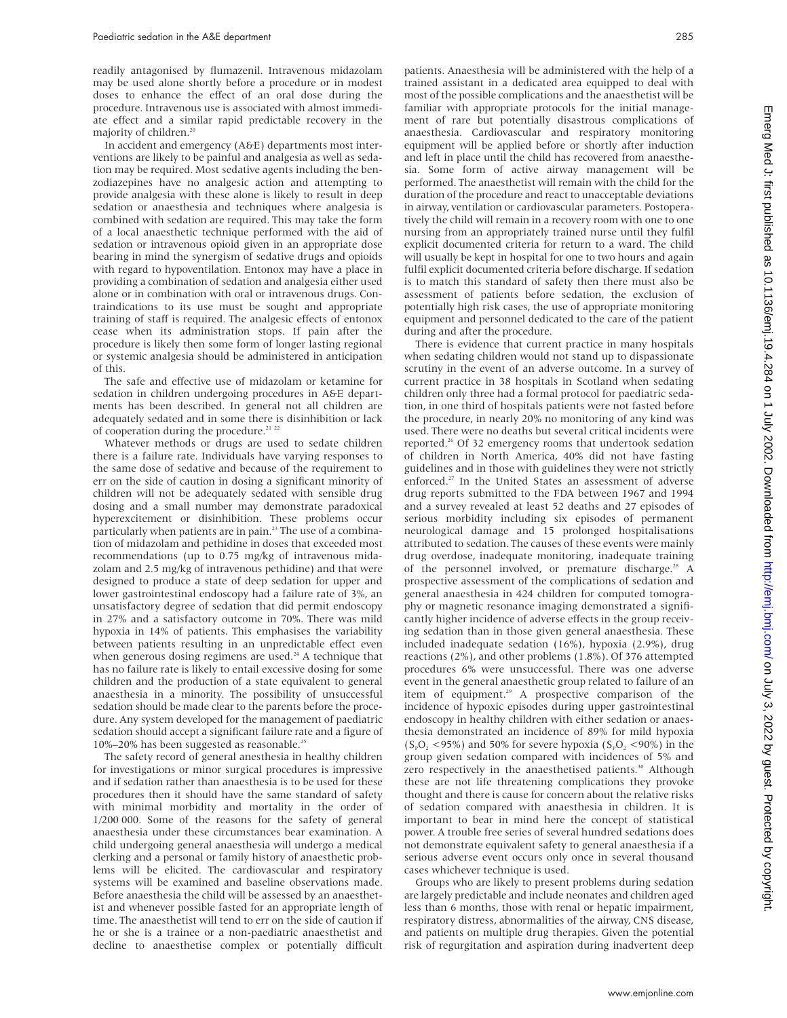readily antagonised by flumazenil. Intravenous midazolam may be used alone shortly before a procedure or in modest doses to enhance the effect of an oral dose during the procedure. Intravenous use is associated with almost immediate effect and a similar rapid predictable recovery in the majority of children.<sup>20</sup>

In accident and emergency (A&E) departments most interventions are likely to be painful and analgesia as well as sedation may be required. Most sedative agents including the benzodiazepines have no analgesic action and attempting to provide analgesia with these alone is likely to result in deep sedation or anaesthesia and techniques where analgesia is combined with sedation are required. This may take the form of a local anaesthetic technique performed with the aid of sedation or intravenous opioid given in an appropriate dose bearing in mind the synergism of sedative drugs and opioids with regard to hypoventilation. Entonox may have a place in providing a combination of sedation and analgesia either used alone or in combination with oral or intravenous drugs. Contraindications to its use must be sought and appropriate training of staff is required. The analgesic effects of entonox cease when its administration stops. If pain after the procedure is likely then some form of longer lasting regional or systemic analgesia should be administered in anticipation of this.

The safe and effective use of midazolam or ketamine for sedation in children undergoing procedures in A&E departments has been described. In general not all children are adequately sedated and in some there is disinhibition or lack of cooperation during the procedure.<sup>21</sup> <sup>22</sup>

Whatever methods or drugs are used to sedate children there is a failure rate. Individuals have varying responses to the same dose of sedative and because of the requirement to err on the side of caution in dosing a significant minority of children will not be adequately sedated with sensible drug dosing and a small number may demonstrate paradoxical hyperexcitement or disinhibition. These problems occur particularly when patients are in pain.<sup>23</sup> The use of a combination of midazolam and pethidine in doses that exceeded most recommendations (up to 0.75 mg/kg of intravenous midazolam and 2.5 mg/kg of intravenous pethidine) and that were designed to produce a state of deep sedation for upper and lower gastrointestinal endoscopy had a failure rate of 3%, an unsatisfactory degree of sedation that did permit endoscopy in 27% and a satisfactory outcome in 70%. There was mild hypoxia in 14% of patients. This emphasises the variability between patients resulting in an unpredictable effect even when generous dosing regimens are used.<sup>24</sup> A technique that has no failure rate is likely to entail excessive dosing for some children and the production of a state equivalent to general anaesthesia in a minority. The possibility of unsuccessful sedation should be made clear to the parents before the procedure. Any system developed for the management of paediatric sedation should accept a significant failure rate and a figure of 10%-20% has been suggested as reasonable.<sup>25</sup>

The safety record of general anesthesia in healthy children for investigations or minor surgical procedures is impressive and if sedation rather than anaesthesia is to be used for these procedures then it should have the same standard of safety with minimal morbidity and mortality in the order of 1/200 000. Some of the reasons for the safety of general anaesthesia under these circumstances bear examination. A child undergoing general anaesthesia will undergo a medical clerking and a personal or family history of anaesthetic problems will be elicited. The cardiovascular and respiratory systems will be examined and baseline observations made. Before anaesthesia the child will be assessed by an anaesthetist and whenever possible fasted for an appropriate length of time. The anaesthetist will tend to err on the side of caution if he or she is a trainee or a non-paediatric anaesthetist and decline to anaesthetise complex or potentially difficult

patients. Anaesthesia will be administered with the help of a trained assistant in a dedicated area equipped to deal with most of the possible complications and the anaesthetist will be familiar with appropriate protocols for the initial management of rare but potentially disastrous complications of anaesthesia. Cardiovascular and respiratory monitoring equipment will be applied before or shortly after induction and left in place until the child has recovered from anaesthesia. Some form of active airway management will be performed. The anaesthetist will remain with the child for the duration of the procedure and react to unacceptable deviations in airway, ventilation or cardiovascular parameters. Postoperatively the child will remain in a recovery room with one to one nursing from an appropriately trained nurse until they fulfil explicit documented criteria for return to a ward. The child will usually be kept in hospital for one to two hours and again fulfil explicit documented criteria before discharge. If sedation is to match this standard of safety then there must also be assessment of patients before sedation, the exclusion of potentially high risk cases, the use of appropriate monitoring equipment and personnel dedicated to the care of the patient during and after the procedure.

There is evidence that current practice in many hospitals when sedating children would not stand up to dispassionate scrutiny in the event of an adverse outcome. In a survey of current practice in 38 hospitals in Scotland when sedating children only three had a formal protocol for paediatric sedation, in one third of hospitals patients were not fasted before the procedure, in nearly 20% no monitoring of any kind was used. There were no deaths but several critical incidents were reported.<sup>26</sup> Of 32 emergency rooms that undertook sedation of children in North America, 40% did not have fasting guidelines and in those with guidelines they were not strictly enforced.<sup>27</sup> In the United States an assessment of adverse drug reports submitted to the FDA between 1967 and 1994 and a survey revealed at least 52 deaths and 27 episodes of serious morbidity including six episodes of permanent neurological damage and 15 prolonged hospitalisations attributed to sedation. The causes of these events were mainly drug overdose, inadequate monitoring, inadequate training of the personnel involved, or premature discharge.<sup>28</sup> A prospective assessment of the complications of sedation and general anaesthesia in 424 children for computed tomography or magnetic resonance imaging demonstrated a significantly higher incidence of adverse effects in the group receiving sedation than in those given general anaesthesia. These included inadequate sedation (16%), hypoxia (2.9%), drug reactions (2%), and other problems (1.8%). Of 376 attempted procedures 6% were unsuccessful. There was one adverse event in the general anaesthetic group related to failure of an item of equipment.<sup>29</sup> A prospective comparison of the incidence of hypoxic episodes during upper gastrointestinal endoscopy in healthy children with either sedation or anaesthesia demonstrated an incidence of 89% for mild hypoxia  $(S<sub>p</sub>O<sub>2</sub> < 95%)$  and 50% for severe hypoxia  $(S<sub>p</sub>O<sub>2</sub> < 90%)$  in the group given sedation compared with incidences of 5% and zero respectively in the anaesthetised patients.<sup>30</sup> Although these are not life threatening complications they provoke thought and there is cause for concern about the relative risks of sedation compared with anaesthesia in children. It is important to bear in mind here the concept of statistical power. A trouble free series of several hundred sedations does not demonstrate equivalent safety to general anaesthesia if a serious adverse event occurs only once in several thousand cases whichever technique is used.

Groups who are likely to present problems during sedation are largely predictable and include neonates and children aged less than 6 months, those with renal or hepatic impairment, respiratory distress, abnormalities of the airway, CNS disease, and patients on multiple drug therapies. Given the potential risk of regurgitation and aspiration during inadvertent deep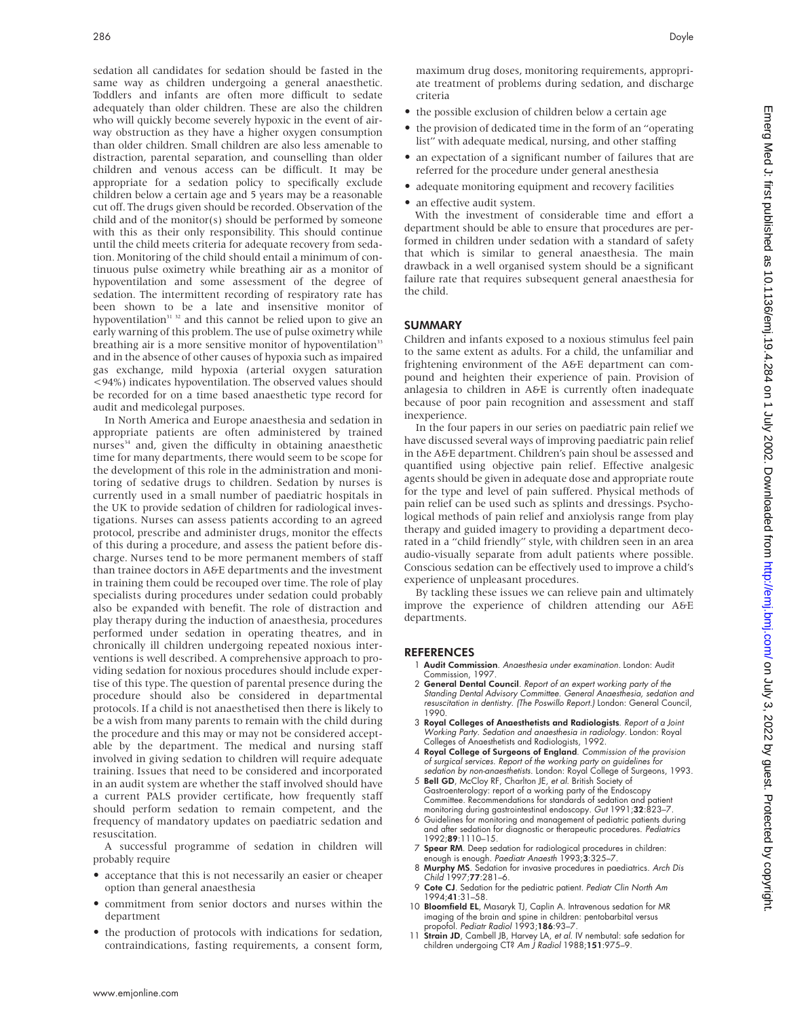sedation all candidates for sedation should be fasted in the same way as children undergoing a general anaesthetic. Toddlers and infants are often more difficult to sedate adequately than older children. These are also the children who will quickly become severely hypoxic in the event of airway obstruction as they have a higher oxygen consumption than older children. Small children are also less amenable to distraction, parental separation, and counselling than older children and venous access can be difficult. It may be appropriate for a sedation policy to specifically exclude children below a certain age and 5 years may be a reasonable cut off. The drugs given should be recorded. Observation of the child and of the monitor(s) should be performed by someone with this as their only responsibility. This should continue until the child meets criteria for adequate recovery from sedation. Monitoring of the child should entail a minimum of continuous pulse oximetry while breathing air as a monitor of hypoventilation and some assessment of the degree of sedation. The intermittent recording of respiratory rate has been shown to be a late and insensitive monitor of hypoventilation<sup>31</sup><sup>32</sup> and this cannot be relied upon to give an early warning of this problem. The use of pulse oximetry while breathing air is a more sensitive monitor of hypoventilation<sup>33</sup> and in the absence of other causes of hypoxia such as impaired gas exchange, mild hypoxia (arterial oxygen saturation <94%) indicates hypoventilation. The observed values should be recorded for on a time based anaesthetic type record for audit and medicolegal purposes.

In North America and Europe anaesthesia and sedation in appropriate patients are often administered by trained nurses $34$  and, given the difficulty in obtaining anaesthetic time for many departments, there would seem to be scope for the development of this role in the administration and monitoring of sedative drugs to children. Sedation by nurses is currently used in a small number of paediatric hospitals in the UK to provide sedation of children for radiological investigations. Nurses can assess patients according to an agreed protocol, prescribe and administer drugs, monitor the effects of this during a procedure, and assess the patient before discharge. Nurses tend to be more permanent members of staff than trainee doctors in A&E departments and the investment in training them could be recouped over time. The role of play specialists during procedures under sedation could probably also be expanded with benefit. The role of distraction and play therapy during the induction of anaesthesia, procedures performed under sedation in operating theatres, and in chronically ill children undergoing repeated noxious interventions is well described. A comprehensive approach to providing sedation for noxious procedures should include expertise of this type. The question of parental presence during the procedure should also be considered in departmental protocols. If a child is not anaesthetised then there is likely to be a wish from many parents to remain with the child during the procedure and this may or may not be considered acceptable by the department. The medical and nursing staff involved in giving sedation to children will require adequate training. Issues that need to be considered and incorporated in an audit system are whether the staff involved should have a current PALS provider certificate, how frequently staff should perform sedation to remain competent, and the frequency of mandatory updates on paediatric sedation and resuscitation.

A successful programme of sedation in children will probably require

- acceptance that this is not necessarily an easier or cheaper option than general anaesthesia
- commitment from senior doctors and nurses within the department
- the production of protocols with indications for sedation, contraindications, fasting requirements, a consent form,
- the possible exclusion of children below a certain age
- the provision of dedicated time in the form of an "operating list" with adequate medical, nursing, and other staffing
- an expectation of a significant number of failures that are referred for the procedure under general anesthesia
- adequate monitoring equipment and recovery facilities
- an effective audit system.

With the investment of considerable time and effort a department should be able to ensure that procedures are performed in children under sedation with a standard of safety that which is similar to general anaesthesia. The main drawback in a well organised system should be a significant failure rate that requires subsequent general anaesthesia for the child.

#### SUMMARY

Children and infants exposed to a noxious stimulus feel pain to the same extent as adults. For a child, the unfamiliar and frightening environment of the A&E department can compound and heighten their experience of pain. Provision of anlagesia to children in A&E is currently often inadequate because of poor pain recognition and assessment and staff inexperience.

In the four papers in our series on paediatric pain relief we have discussed several ways of improving paediatric pain relief in the A&E department. Children's pain shoul be assessed and quantified using objective pain relief. Effective analgesic agents should be given in adequate dose and appropriate route for the type and level of pain suffered. Physical methods of pain relief can be used such as splints and dressings. Psychological methods of pain relief and anxiolysis range from play therapy and guided imagery to providing a department decorated in a "child friendly" style, with children seen in an area audio-visually separate from adult patients where possible. Conscious sedation can be effectively used to improve a child's experience of unpleasant procedures.

By tackling these issues we can relieve pain and ultimately improve the experience of children attending our A&E departments.

#### **REFERENCES**

- Audit Commission. Anaesthesia under examination. London: Audit Commission, 1997.
- 2 General Dental Council. Report of an expert working party of the Standing Dental Advisory Committee. General Anaesthesia, sedation and resuscitation in dentistry. (The Poswillo Report.) London: General Council, 1990.
- 3 Royal Colleges of Anaesthetists and Radiologists. Report of a Joint Working Party. Sedation and anaesthesia in radiology. London: Royal Colleges of Anaesthetists and Radiologists, 1992.
- 4 Royal College of Surgeons of England. Commission of the provision of surgical services. Report of the working party on guidelines for sedation by non-anaesthetists. London: Royal College of Surgeons, 1993.
- 5 Bell GD, McCloy RF, Charlton JE, et al. British Society of Gastroenterology: report of a working party of the Endoscopy Committee. Recommendations for standards of sedation and monitoring during gastrointestinal endoscopy. Gut 1991;32:823-7
- 6 Guidelines for monitoring and management of pediatric patients during and after sedation for diagnostic or therapeutic procedures. Pediatrics 1992;89:1110–15.
- 7 Spear RM. Deep sedation for radiological procedures in children: enough is enough. Paediatr Anaesth 1993;3:325-7.
- 8 Murphy MS. Sedation for invasive procedures in paediatrics. Arch Dis Child 1997;77:281–6.
- 9 Cote CJ. Sedation for the pediatric patient. Pediatr Clin North Am 1994;41:31–58.
- 10 Bloomfield EL, Masaryk TJ, Caplin A. Intravenous sedation for MR imaging of the brain and spine in children: pentobarbital versus propofol. Pediatr Radiol 1993;186:93-7.
- 11 Strain JD, Cambell JB, Harvey LA, et al. IV nembutal: safe sedation for children undergoing CT? Am J Radiol 1988;151:975-9.